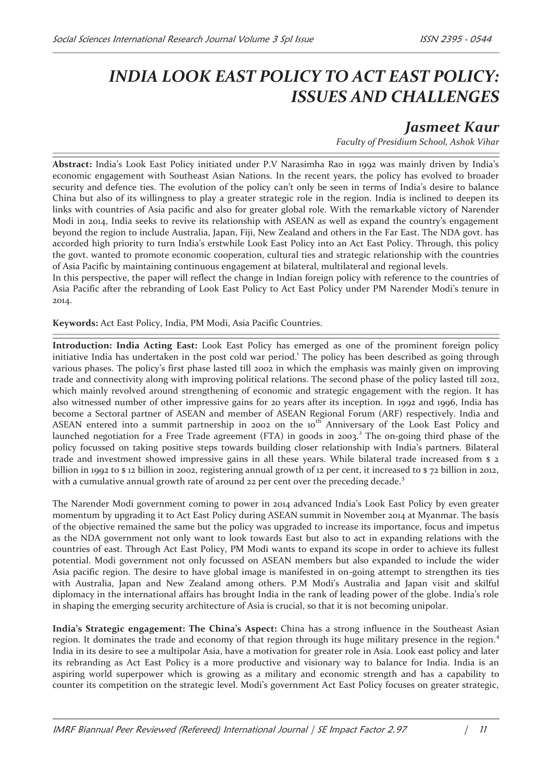## *INDIA LOOK EAST POLICY TO ACT EAST POLICY: ISSUES AND CHALLENGES*

## *Jasmeet Kaur*

*Faculty of Presidium School, Ashok Vihar*

**Abstract:** India's Look East Policy initiated under P.V Narasimha Rao in 1992 was mainly driven by India's economic engagement with Southeast Asian Nations. In the recent years, the policy has evolved to broader security and defence ties. The evolution of the policy can't only be seen in terms of India's desire to balance China but also of its willingness to play a greater strategic role in the region. India is inclined to deepen its links with countries of Asia pacific and also for greater global role. With the remarkable victory of Narender Modi in 2014, India seeks to revive its relationship with ASEAN as well as expand the country's engagement beyond the region to include Australia, Japan, Fiji, New Zealand and others in the Far East. The NDA govt. has accorded high priority to turn India's erstwhile Look East Policy into an Act East Policy. Through, this policy the govt. wanted to promote economic cooperation, cultural ties and strategic relationship with the countries of Asia Pacific by maintaining continuous engagement at bilateral, multilateral and regional levels.

In this perspective, the paper will reflect the change in Indian foreign policy with reference to the countries of Asia Pacific after the rebranding of Look East Policy to Act East Policy under PM Narender Modi's tenure in 2014.

**Keywords:** Act East Policy, India, PM Modi, Asia Pacific Countries.

**Introduction: India Acting East:** Look East Policy has emerged as one of the prominent foreign policy initiative India has undertaken in the post cold war period.<sup>1</sup> The policy has been described as going through various phases. The policy's first phase lasted till 2002 in which the emphasis was mainly given on improving trade and connectivity along with improving political relations. The second phase of the policy lasted till 2012, which mainly revolved around strengthening of economic and strategic engagement with the region. It has also witnessed number of other impressive gains for 20 years after its inception. In 1992 and 1996, India has become a Sectoral partner of ASEAN and member of ASEAN Regional Forum (ARF) respectively. India and ASEAN entered into a summit partnership in 2002 on the 10<sup>th</sup> Anniversary of the Look East Policy and launched negotiation for a Free Trade agreement (FTA) in goods in 2003.<sup>2</sup> The on-going third phase of the policy focussed on taking positive steps towards building closer relationship with India's partners. Bilateral trade and investment showed impressive gains in all these years. While bilateral trade increased from \$ 2 billion in 1992 to \$ 12 billion in 2002, registering annual growth of 12 per cent, it increased to \$ 72 billion in 2012, with a cumulative annual growth rate of around 22 per cent over the preceding decade.<sup>3</sup>

The Narender Modi government coming to power in 2014 advanced India's Look East Policy by even greater momentum by upgrading it to Act East Policy during ASEAN summit in November 2014 at Myanmar. The basis of the objective remained the same but the policy was upgraded to increase its importance, focus and impetus as the NDA government not only want to look towards East but also to act in expanding relations with the countries of east. Through Act East Policy, PM Modi wants to expand its scope in order to achieve its fullest potential. Modi government not only focussed on ASEAN members but also expanded to include the wider Asia pacific region. The desire to have global image is manifested in on-going attempt to strengthen its ties with Australia, Japan and New Zealand among others. P.M Modi's Australia and Japan visit and skilful diplomacy in the international affairs has brought India in the rank of leading power of the globe. India's role in shaping the emerging security architecture of Asia is crucial, so that it is not becoming unipolar.

**India's Strategic engagement: The China's Aspect:** China has a strong influence in the Southeast Asian region. It dominates the trade and economy of that region through its huge military presence in the region.<sup>4</sup> India in its desire to see a multipolar Asia, have a motivation for greater role in Asia. Look east policy and later its rebranding as Act East Policy is a more productive and visionary way to balance for India. India is an aspiring world superpower which is growing as a military and economic strength and has a capability to counter its competition on the strategic level. Modi's government Act East Policy focuses on greater strategic,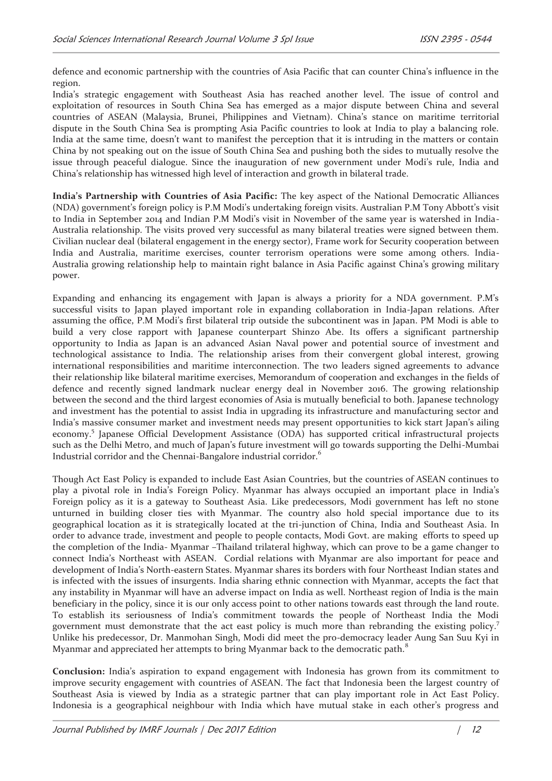defence and economic partnership with the countries of Asia Pacific that can counter China's influence in the region.

India's strategic engagement with Southeast Asia has reached another level. The issue of control and exploitation of resources in South China Sea has emerged as a major dispute between China and several countries of ASEAN (Malaysia, Brunei, Philippines and Vietnam). China's stance on maritime territorial dispute in the South China Sea is prompting Asia Pacific countries to look at India to play a balancing role. India at the same time, doesn't want to manifest the perception that it is intruding in the matters or contain China by not speaking out on the issue of South China Sea and pushing both the sides to mutually resolve the issue through peaceful dialogue. Since the inauguration of new government under Modi's rule, India and China's relationship has witnessed high level of interaction and growth in bilateral trade.

**India's Partnership with Countries of Asia Pacific:** The key aspect of the National Democratic Alliances (NDA) government's foreign policy is P.M Modi's undertaking foreign visits. Australian P.M Tony Abbott's visit to India in September 2014 and Indian P.M Modi's visit in November of the same year is watershed in India-Australia relationship. The visits proved very successful as many bilateral treaties were signed between them. Civilian nuclear deal (bilateral engagement in the energy sector), Frame work for Security cooperation between India and Australia, maritime exercises, counter terrorism operations were some among others. India-Australia growing relationship help to maintain right balance in Asia Pacific against China's growing military power.

Expanding and enhancing its engagement with Japan is always a priority for a NDA government. P.M's successful visits to Japan played important role in expanding collaboration in India-Japan relations. After assuming the office, P.M Modi's first bilateral trip outside the subcontinent was in Japan. PM Modi is able to build a very close rapport with Japanese counterpart Shinzo Abe. Its offers a significant partnership opportunity to India as Japan is an advanced Asian Naval power and potential source of investment and technological assistance to India. The relationship arises from their convergent global interest, growing international responsibilities and maritime interconnection. The two leaders signed agreements to advance their relationship like bilateral maritime exercises, Memorandum of cooperation and exchanges in the fields of defence and recently signed landmark nuclear energy deal in November 2016. The growing relationship between the second and the third largest economies of Asia is mutually beneficial to both. Japanese technology and investment has the potential to assist India in upgrading its infrastructure and manufacturing sector and India's massive consumer market and investment needs may present opportunities to kick start Japan's ailing economy.<sup>5</sup> Japanese Official Development Assistance (ODA) has supported critical infrastructural projects such as the Delhi Metro, and much of Japan's future investment will go towards supporting the Delhi-Mumbai Industrial corridor and the Chennai-Bangalore industrial corridor.<sup>6</sup>

Though Act East Policy is expanded to include East Asian Countries, but the countries of ASEAN continues to play a pivotal role in India's Foreign Policy. Myanmar has always occupied an important place in India's Foreign policy as it is a gateway to Southeast Asia. Like predecessors, Modi government has left no stone unturned in building closer ties with Myanmar. The country also hold special importance due to its geographical location as it is strategically located at the tri-junction of China, India and Southeast Asia. In order to advance trade, investment and people to people contacts, Modi Govt. are making efforts to speed up the completion of the India- Myanmar –Thailand trilateral highway, which can prove to be a game changer to connect India's Northeast with ASEAN. Cordial relations with Myanmar are also important for peace and development of India's North-eastern States. Myanmar shares its borders with four Northeast Indian states and is infected with the issues of insurgents. India sharing ethnic connection with Myanmar, accepts the fact that any instability in Myanmar will have an adverse impact on India as well. Northeast region of India is the main beneficiary in the policy, since it is our only access point to other nations towards east through the land route. To establish its seriousness of India's commitment towards the people of Northeast India the Modi government must demonstrate that the act east policy is much more than rebranding the existing policy.<sup>7</sup> Unlike his predecessor, Dr. Manmohan Singh, Modi did meet the pro-democracy leader Aung San Suu Kyi in Myanmar and appreciated her attempts to bring Myanmar back to the democratic path.<sup>8</sup>

**Conclusion:** India's aspiration to expand engagement with Indonesia has grown from its commitment to improve security engagement with countries of ASEAN. The fact that Indonesia been the largest country of Southeast Asia is viewed by India as a strategic partner that can play important role in Act East Policy. Indonesia is a geographical neighbour with India which have mutual stake in each other's progress and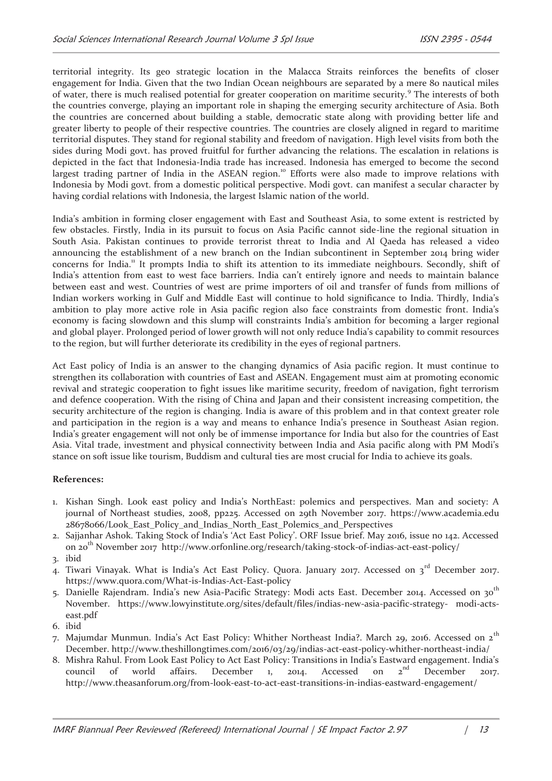territorial integrity. Its geo strategic location in the Malacca Straits reinforces the benefits of closer engagement for India. Given that the two Indian Ocean neighbours are separated by a mere 80 nautical miles of water, there is much realised potential for greater cooperation on maritime security.<sup>9</sup> The interests of both the countries converge, playing an important role in shaping the emerging security architecture of Asia. Both the countries are concerned about building a stable, democratic state along with providing better life and greater liberty to people of their respective countries. The countries are closely aligned in regard to maritime territorial disputes. They stand for regional stability and freedom of navigation. High level visits from both the sides during Modi govt. has proved fruitful for further advancing the relations. The escalation in relations is depicted in the fact that Indonesia-India trade has increased. Indonesia has emerged to become the second largest trading partner of India in the ASEAN region.<sup>10</sup> Efforts were also made to improve relations with Indonesia by Modi govt. from a domestic political perspective. Modi govt. can manifest a secular character by having cordial relations with Indonesia, the largest Islamic nation of the world.

India's ambition in forming closer engagement with East and Southeast Asia, to some extent is restricted by few obstacles. Firstly, India in its pursuit to focus on Asia Pacific cannot side-line the regional situation in South Asia. Pakistan continues to provide terrorist threat to India and Al Qaeda has released a video announcing the establishment of a new branch on the Indian subcontinent in September 2014 bring wider concerns for India.<sup>11</sup> It prompts India to shift its attention to its immediate neighbours. Secondly, shift of India's attention from east to west face barriers. India can't entirely ignore and needs to maintain balance between east and west. Countries of west are prime importers of oil and transfer of funds from millions of Indian workers working in Gulf and Middle East will continue to hold significance to India. Thirdly, India's ambition to play more active role in Asia pacific region also face constraints from domestic front. India's economy is facing slowdown and this slump will constraints India's ambition for becoming a larger regional and global player. Prolonged period of lower growth will not only reduce India's capability to commit resources to the region, but will further deteriorate its credibility in the eyes of regional partners.

Act East policy of India is an answer to the changing dynamics of Asia pacific region. It must continue to strengthen its collaboration with countries of East and ASEAN. Engagement must aim at promoting economic revival and strategic cooperation to fight issues like maritime security, freedom of navigation, fight terrorism and defence cooperation. With the rising of China and Japan and their consistent increasing competition, the security architecture of the region is changing. India is aware of this problem and in that context greater role and participation in the region is a way and means to enhance India's presence in Southeast Asian region. India's greater engagement will not only be of immense importance for India but also for the countries of East Asia. Vital trade, investment and physical connectivity between India and Asia pacific along with PM Modi's stance on soft issue like tourism, Buddism and cultural ties are most crucial for India to achieve its goals.

## **References:**

- 1. Kishan Singh. Look east policy and India's NorthEast: polemics and perspectives. Man and society: A journal of Northeast studies, 2008, pp225. Accessed on 29th November 2017. https://www.academia.edu 28678066/Look East Policy and Indias North East Polemics and Perspectives
- 2. Sajjanhar Ashok. Taking Stock of India's 'Act East Policy'. ORF Issue brief. May 2016, issue no 142. Accessed on 20<sup>th</sup> November 2017 http://www.orfonline.org/research/taking-stock-of-indias-act-east-policy/
- 3. ibid
- 4. Tiwari Vinayak. What is India's Act East Policy. Quora. January 2017. Accessed on 3<sup>rd</sup> December 2017. https://www.quora.com/What-is-Indias-Act-East-policy
- 5. Danielle Rajendram. India's new Asia-Pacific Strategy: Modi acts East. December 2014. Accessed on 30<sup>th</sup> November. https://www.lowyinstitute.org/sites/default/files/indias-new-asia-pacific-strategy- modi-actseast.pdf
- 6. ibid
- 7. Majumdar Munmun. India's Act East Policy: Whither Northeast India?. March 29, 2016. Accessed on 2<sup>th</sup> December. http://www.theshillongtimes.com/2016/03/29/indias-act-east-policy-whither-northeast-india/
- 8. Mishra Rahul. From Look East Policy to Act East Policy: Transitions in India's Eastward engagement. India's council of world affairs. December 1, 2014. Accessed on  $2^{nd}$  December 2017. council of world affairs. December 1, 2014. Accessed on  $2^{nd}$  December 2017. http://www.theasanforum.org/from-look-east-to-act-east-transitions-in-indias-eastward-engagement/